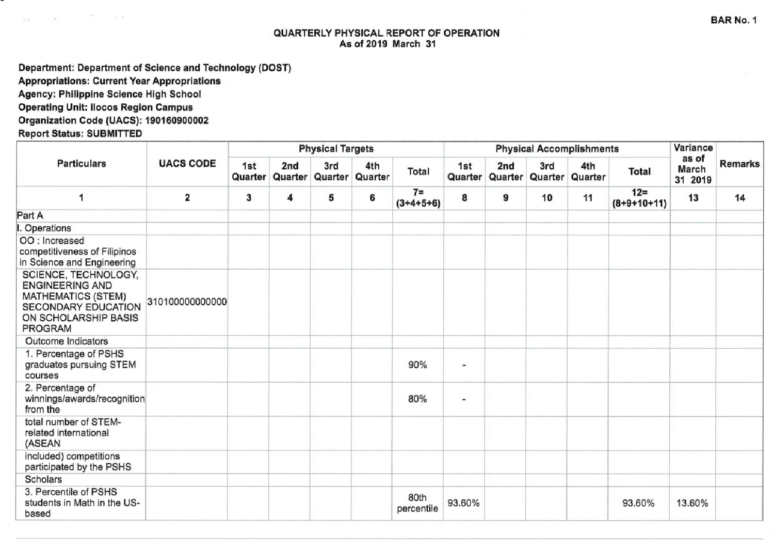## QUARTERLY PHYSICAL REPORT OF OPERATION As of 2019 March 31

Department: Department of Science and Technology (DOST)

**Appropriations: Current Year Appropriations** 

Agency: Philippine Science High School

**Operating Unit: Ilocos Region Campus** 

Organization Code (UACS): 190160900002

**Report Status: SUBMITTED** 

| <b>Particulars</b>                                                                                                                           | <b>UACS CODE</b> |                |                | <b>Physical Targets</b> |                |                      |        | <b>Physical Accomplishments</b>    | Variance       |                |                         |                           |                |
|----------------------------------------------------------------------------------------------------------------------------------------------|------------------|----------------|----------------|-------------------------|----------------|----------------------|--------|------------------------------------|----------------|----------------|-------------------------|---------------------------|----------------|
|                                                                                                                                              |                  | 1st<br>Quarter | 2nd<br>Quarter | 3rd<br>Quarter          | 4th<br>Quarter | Total                | 1st    | 2 <sub>nd</sub><br>Quarter Quarter | 3rd<br>Quarter | 4th<br>Quarter | Total                   | as of<br>March<br>31 2019 | <b>Remarks</b> |
| 1                                                                                                                                            | 2                | 3              | 4              | 5                       | 6              | $7 =$<br>$(3+4+5+6)$ | 8      | 9                                  | 10             | 11             | $12 =$<br>$(8+9+10+11)$ | 13                        | 14             |
| Part A                                                                                                                                       |                  |                |                |                         |                |                      |        |                                    |                |                |                         |                           |                |
| <b>Operations</b>                                                                                                                            |                  |                |                |                         |                |                      |        |                                    |                |                |                         |                           |                |
| OO : Increased<br>competitiveness of Filipinos<br>in Science and Engineering                                                                 |                  |                |                |                         |                |                      |        |                                    |                |                |                         |                           |                |
| SCIENCE, TECHNOLOGY,<br><b>ENGINEERING AND</b><br><b>MATHEMATICS (STEM)</b><br><b>SECONDARY EDUCATION</b><br>ON SCHOLARSHIP BASIS<br>PROGRAM | 310100000000000  |                |                |                         |                |                      |        |                                    |                |                |                         |                           |                |
| <b>Outcome Indicators</b>                                                                                                                    |                  |                |                |                         |                |                      |        |                                    |                |                |                         |                           |                |
| 1. Percentage of PSHS<br>graduates pursuing STEM<br>courses                                                                                  |                  |                |                |                         |                | 90%                  |        |                                    |                |                |                         |                           |                |
| 2. Percentage of<br>winnings/awards/recognition<br>from the                                                                                  |                  |                |                |                         |                | 80%                  |        |                                    |                |                |                         |                           |                |
| total number of STEM-<br>related international<br>(ASEAN                                                                                     |                  |                |                |                         |                |                      |        |                                    |                |                |                         |                           |                |
| included) competitions<br>participated by the PSHS                                                                                           |                  |                |                |                         |                |                      |        |                                    |                |                |                         |                           |                |
| <b>Scholars</b>                                                                                                                              |                  |                |                |                         |                |                      |        |                                    |                |                |                         |                           |                |
| 3. Percentile of PSHS<br>students in Math in the US-<br>based                                                                                |                  |                |                |                         |                | 80th<br>percentile   | 93.60% |                                    |                |                | 93.60%                  | 13.60%                    |                |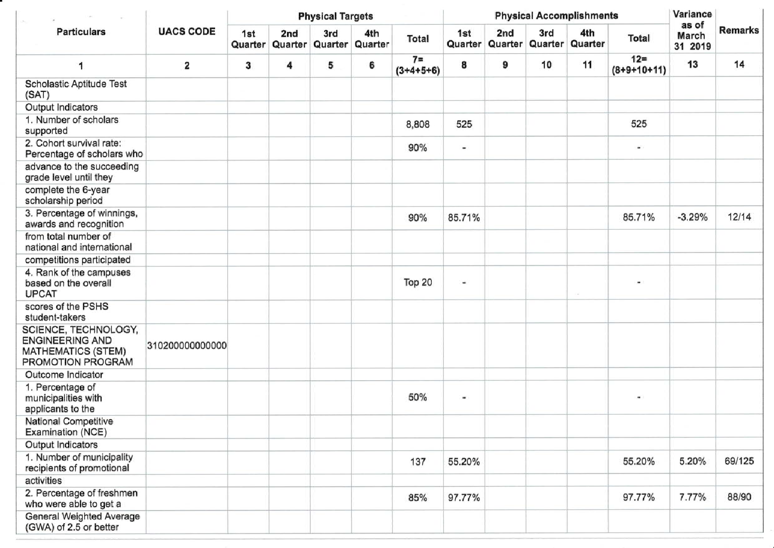| <b>Particulars</b>                                                                               | <b>UACS CODE</b> | <b>Physical Targets</b> |                |                |                |                      |                | <b>Physical Accomplishments</b> | Variance               |                |                         |                           |                |
|--------------------------------------------------------------------------------------------------|------------------|-------------------------|----------------|----------------|----------------|----------------------|----------------|---------------------------------|------------------------|----------------|-------------------------|---------------------------|----------------|
|                                                                                                  |                  | 1st<br>Quarter          | 2nd<br>Quarter | 3rd<br>Quarter | 4th<br>Quarter | Total                | 1st<br>Quarter | 2nd                             | 3rd<br>Quarter Quarter | 4th<br>Quarter | <b>Total</b>            | as of<br>March<br>31 2019 | <b>Remarks</b> |
| 1                                                                                                | 2                | 3                       | 4              | 5              | 6              | $7 =$<br>$(3+4+5+6)$ | 8              | 9                               | 10                     | 11             | $12 =$<br>$(8+9+10+11)$ | 13                        | 14             |
| Scholastic Aptitude Test<br>(SAT)                                                                |                  |                         |                |                |                |                      |                |                                 |                        |                |                         |                           |                |
| Output Indicators                                                                                |                  |                         |                |                |                |                      |                |                                 |                        |                |                         |                           |                |
| 1. Number of scholars<br>supported                                                               |                  |                         |                |                |                | 8,808                | 525            |                                 |                        |                | 525                     |                           |                |
| 2. Cohort survival rate:<br>Percentage of scholars who                                           |                  |                         |                |                |                | 90%                  |                |                                 |                        |                |                         |                           |                |
| advance to the succeeding<br>grade level until they                                              |                  |                         |                |                |                |                      |                |                                 |                        |                |                         |                           |                |
| complete the 6-year<br>scholarship period                                                        |                  |                         |                |                |                |                      |                |                                 |                        |                |                         |                           |                |
| 3. Percentage of winnings,<br>awards and recognition                                             |                  |                         |                |                |                | 90%                  | 85.71%         |                                 |                        |                | 85.71%                  | $-3.29%$                  | 12/14          |
| from total number of<br>national and international                                               |                  |                         |                |                |                |                      |                |                                 |                        |                |                         |                           |                |
| competitions participated                                                                        |                  |                         |                |                |                |                      |                |                                 |                        |                |                         |                           |                |
| 4. Rank of the campuses<br>based on the overall<br><b>UPCAT</b>                                  |                  |                         |                |                |                | Top 20               | ۰              |                                 |                        |                |                         |                           |                |
| scores of the PSHS<br>student-takers                                                             |                  |                         |                |                |                |                      |                |                                 |                        |                |                         |                           |                |
| SCIENCE, TECHNOLOGY,<br><b>ENGINEERING AND</b><br><b>MATHEMATICS (STEM)</b><br>PROMOTION PROGRAM | 31020000000000   |                         |                |                |                |                      |                |                                 |                        |                |                         |                           |                |
| Outcome Indicator                                                                                |                  |                         |                |                |                |                      |                |                                 |                        |                |                         |                           |                |
| 1. Percentage of<br>municipalities with<br>applicants to the                                     |                  |                         |                |                |                | 50%                  | $\blacksquare$ |                                 |                        |                | $\blacksquare$          |                           |                |
| National Competitive<br>Examination (NCE)                                                        |                  |                         |                |                |                |                      |                |                                 |                        |                |                         |                           |                |
| Output Indicators                                                                                |                  |                         |                |                |                |                      |                |                                 |                        |                |                         |                           |                |
| 1. Number of municipality<br>recipients of promotional                                           |                  |                         |                |                |                | 137                  | 55.20%         |                                 |                        |                | 55.20%                  | 5.20%                     | 69/125         |
| activities                                                                                       |                  |                         |                |                |                |                      |                |                                 |                        |                |                         |                           |                |
| 2. Percentage of freshmen<br>who were able to get a                                              |                  |                         |                |                |                | 85%                  | 97.77%         |                                 |                        |                | 97.77%                  | 7.77%                     | 88/90          |
| General Weighted Average<br>(GWA) of 2.5 or better                                               |                  |                         |                |                |                |                      |                |                                 |                        |                |                         |                           |                |